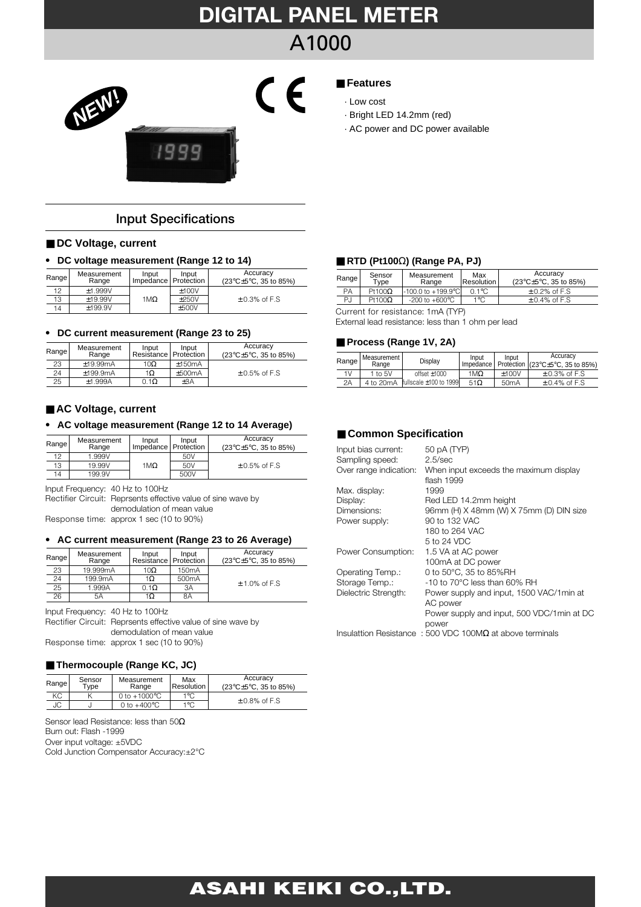# **DIGITAL PANEL METER** A1000



## **Input Specifications**

#### ■ DC Voltage, current

#### • **DC voltage measurement (Range 12 to 14)**

| Range | Measurement<br>Range | Input<br>Impedance   Protection | Input   | Accuracy<br>$(23^{\circ}C \pm 5^{\circ}C.35$ to 85%) |  |  |
|-------|----------------------|---------------------------------|---------|------------------------------------------------------|--|--|
| 12    | $+1.999V$            |                                 | ±100V   |                                                      |  |  |
| 13    | $+19.99V$            | 1ΜΩ                             | $+250V$ | $\pm$ 0.3% of F.S                                    |  |  |
| 14    | $+199.9V$            |                                 | $+500V$ |                                                      |  |  |

#### • **DC current measurement (Range 23 to 25)**

| Range | Measurement<br>Range | Input<br>Resistance   Protection | Input    | Accuracy<br>(23°C±5°C, 35 to 85%) |
|-------|----------------------|----------------------------------|----------|-----------------------------------|
| 23    | $+19.99 \text{mA}$   | 10 $\Omega$                      | $+150mA$ |                                   |
| 24    | $+199.9mA$           | 1Ω                               | ±500mA   | $\pm$ 0.5% of F.S                 |
| 25    | $+1.999A$            | $0.1\Omega$                      | ±3A      |                                   |

#### ■ **AC Voltage, current**

### • **AC voltage measurement (Range 12 to 14 Average)**

| Range | Measurement<br>Range | Input<br>Impedance   Protection | Input | Accuracy<br>$(23^{\circ}C \pm 5^{\circ}C, 35$ to 85%) |
|-------|----------------------|---------------------------------|-------|-------------------------------------------------------|
| 12    | 1.999V               |                                 | 50V   |                                                       |
| 13    | 19.99V               | 1Μ $Ω$                          | 50V   | $\pm$ 0.5% of F.S                                     |
| 14    | 199.9V               |                                 | 500V  |                                                       |

Input Frequency: 40 Hz to 100Hz

Rectifier Circuit: Reprsents effective value of sine wave by demodulation of mean value

Response time: approx 1 sec (10 to 90%)

#### • **AC current measurement (Range 23 to 26 Average)**

| Range | Measurement<br>Range | Input<br>Resistance   Protection | Input              | Accuracy<br>(23°C±5°C, 35 to 85%) |  |
|-------|----------------------|----------------------------------|--------------------|-----------------------------------|--|
| 23    | 19.999mA             | 10 $\Omega$                      | 150 <sub>m</sub> A |                                   |  |
| 24    | 199.9mA              | 1Ω                               | 500 <sub>m</sub> A | $± 1.0\%$ of F.S                  |  |
| 25    | 1.999A               | $0.1\Omega$                      | 3A                 |                                   |  |
| 26    | 5Α                   | 1Ω                               | 8Α                 |                                   |  |

Input Frequency: 40 Hz to 100Hz Rectifier Circuit: Reprsents effective value of sine wave by demodulation of mean value Response time: approx 1 sec (10 to 90%)

#### ■ **Thermocouple (Range KC, JC)**

| Range | Sensor<br>Tvpe | Measurement<br>Range   | Max<br>Resolution | Accuracy<br>$(23^{\circ}C \pm 5^{\circ}C, 35 \text{ to } 85\%)$ |
|-------|----------------|------------------------|-------------------|-----------------------------------------------------------------|
| КC    |                | 0 to $+1000^{\circ}$ C | 1°C               | $\pm$ 0.8% of F.S                                               |
| JC    |                | 0 to $+400^{\circ}$ C  | $1^{\circ}$ C     |                                                                 |

Sensor lead Resistance: less than 50Ω Burn out: Flash -1999 Over input voltage: ±5VDC Cold Junction Compensator Accuracy:±2°C

## ■ **Features**

#### · Low cost

- 
- · AC power and DC power available

#### ■ **RTD (Pt100**Ω**) (Range PA, PJ)**

| Range | Sensor<br>Tvpe | Measurement<br>Range       | Max<br>Resolution I | Accuracy<br>$(23^{\circ}C \pm 5^{\circ}C, 35$ to 85%) |
|-------|----------------|----------------------------|---------------------|-------------------------------------------------------|
| PA    | Pt100 $\Omega$ | -100.0 to +199.9°Cl        | $0.1$ °C            | $+0.2\%$ of F.S                                       |
| PJ    | Pt100 $\Omega$ | $-200$ to $+600^{\circ}$ C | 1°C                 | $+0.4\%$ of F.S.                                      |

Current for resistance: 1mA (TYP)

External lead resistance: less than 1 ohm per lead

#### ■ **Process (Range 1V, 2A)**

|    | Range   Measurement  <br>Range | Display                      | Input      | Input   | Accuracy<br>Impedance   Protection (23°C±5°C, 35 to 85%) |
|----|--------------------------------|------------------------------|------------|---------|----------------------------------------------------------|
| 1V | 1 to $5V$                      | $offset + 1000$              | 1ΜΩ        | $+100V$ | $\pm$ 0.3% of F.S                                        |
| 2A | 4 to 20mA                      | Ifullscale $\pm$ 100 to 1999 | $51\Omega$ | 50mA    | $\pm$ 0.4% of F.S                                        |

### ■ **Common Specification**

| Input bias current:    | 50 pA (TYP)                                                       |
|------------------------|-------------------------------------------------------------------|
| Sampling speed:        | $2.5$ /sec                                                        |
| Over range indication: | When input exceeds the maximum display                            |
|                        | flash 1999                                                        |
| Max. display:          | 1999                                                              |
| Display:               | Red LED 14.2mm height                                             |
| Dimensions:            | 96mm (H) X 48mm (W) X 75mm (D) DIN size                           |
| Power supply:          | 90 to 132 VAC                                                     |
|                        | 180 to 264 VAC                                                    |
|                        | 5 to 24 VDC                                                       |
| Power Consumption:     | 1.5 VA at AC power                                                |
|                        | 100mA at DC power                                                 |
| Operating Temp.:       | 0 to 50°C, 35 to 85%RH                                            |
| Storage Temp.:         | $-10$ to 70 $^{\circ}$ C less than 60% RH                         |
| Dielectric Strength:   | Power supply and input, 1500 VAC/1min at                          |
|                        | AC power                                                          |
|                        | Power supply and input, 500 VDC/1min at DC                        |
|                        | power                                                             |
|                        | Insulattion Resistance : 500 VDC 100M $\Omega$ at above terminals |
|                        |                                                                   |

## **ASAHI KEIKI CO.,LTD.**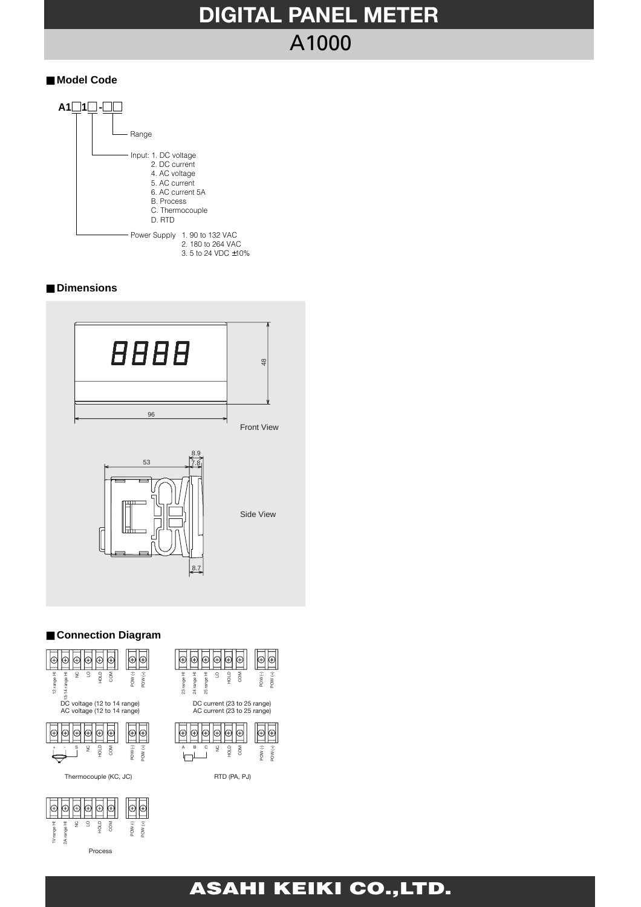# **DIGITAL PANEL METER** A1000

### ■ Model Code



### ■ **Dimensions**



## ■ Connection Diagram

Process



## **ASAHI KEIKI CO.,LTD.**

POW (-) POW (+)

 $\boxed{\oplus}$ 

POW (-) POW (+)

 $\boxed{\oplus}$